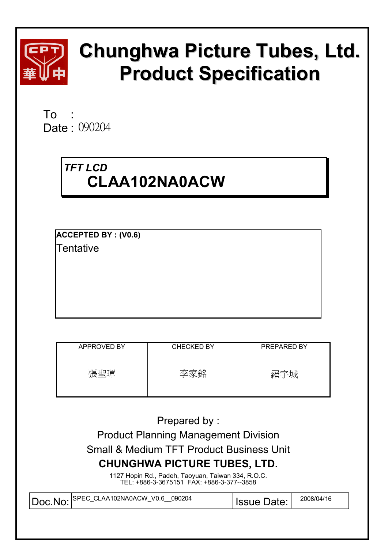

# **Chunghwa Picture Tubes, Ltd. Product Specification**

To : ʳʳ Date: 090204

# *TFT LCD*  **CLAA102NA0ACW**

**ACCEPTED BY : (V0.6) Tentative** 

| APPROVED BY | <b>CHECKED BY</b> | PREPARED BY |
|-------------|-------------------|-------------|
| 張聖暉         | 李家銘               | 羅宇城         |

Prepared by :

Product Planning Management Division Small & Medium TFT Product Business Unit **CHUNGHWA PICTURE TUBES, LTD.** 

> 1127 Hopin Rd., Padeh, Taoyuan, Taiwan 334, R.O.C. TEL: +886-3-3675151 FAX: +886-3-377--3858

| 090204<br>Doc.No: SPEC_CLAA102NA0ACW_V0.6 | <b>Issue Date:</b> | 2008/04/16 |
|-------------------------------------------|--------------------|------------|
|                                           |                    |            |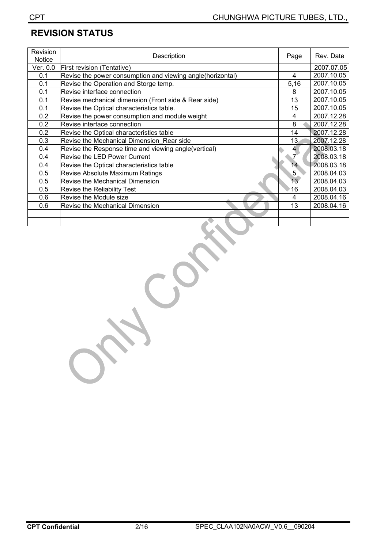## **REVISION STATUS**

| Revision<br><b>Notice</b> | Description                                                | Page            | Rev. Date  |
|---------------------------|------------------------------------------------------------|-----------------|------------|
| Ver. 0.0                  | <b>First revision (Tentative)</b>                          |                 | 2007.07.05 |
| 0.1                       | Revise the power consumption and viewing angle(horizontal) | 4               | 2007.10.05 |
| 0.1                       | Revise the Operation and Storge temp.                      | 5,16            | 2007.10.05 |
| 0.1                       | Revise interface connection                                | 8               | 2007.10.05 |
| 0.1                       | Revise mechanical dimension (Front side & Rear side)       | 13              | 2007.10.05 |
| 0.1                       | Revise the Optical characteristics table.                  | 15              | 2007.10.05 |
| 0.2                       | Revise the power consumption and module weight             | 4               | 2007.12.28 |
| 0.2                       | Revise interface connection                                | 8               | 2007.12.28 |
| 0.2                       | Revise the Optical characteristics table                   | 14              | 2007.12.28 |
| 0.3                       | Revise the Mechanical Dimension Rear side                  | 13              | 2007.12.28 |
| 0.4                       | Revise the Response time and viewing angle(vertical)       | 4               | 2008.03.18 |
| 0.4                       | Revise the LED Power Current                               | 7               | 2008.03.18 |
| 0.4                       | Revise the Optical characteristics table                   | 14              | 2008.03.18 |
| 0.5                       | Revise Absolute Maximum Ratings                            | 5               | 2008.04.03 |
| 0.5                       | Revise the Mechanical Dimension                            | 13 <sup>°</sup> | 2008.04.03 |
| 0.5                       | Revise the Reliability Test                                | 16              | 2008.04.03 |
| 0.6                       | Revise the Module size                                     | 4               | 2008.04.16 |
| 0.6                       | Revise the Mechanical Dimension                            | 13              | 2008.04.16 |
|                           |                                                            |                 |            |
|                           |                                                            |                 |            |

SER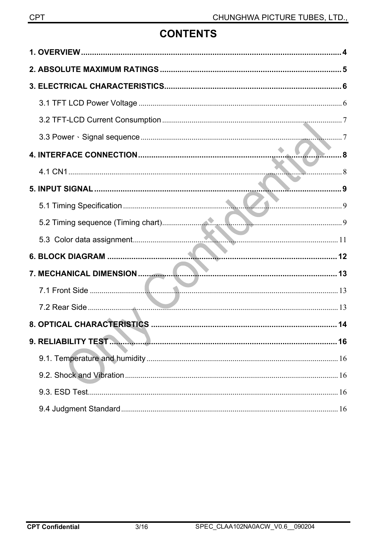## **CONTENTS**

| 8 |
|---|
|   |
|   |
|   |
|   |
|   |
|   |
|   |
|   |
|   |
|   |
|   |
|   |
|   |
|   |
|   |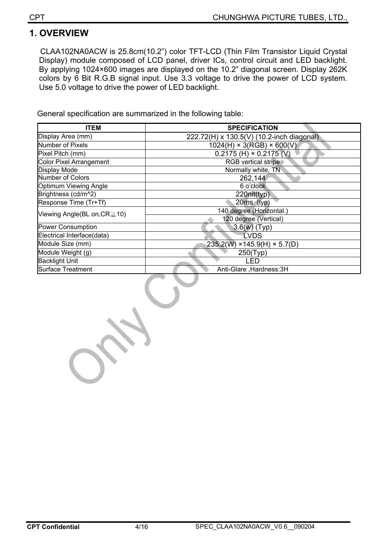## **1. OVERVIEW**

CLAA102NA0ACW is 25.8cm(10.2") color TFT-LCD (Thin Film Transistor Liquid Crystal Display) module composed of LCD panel, driver ICs, control circuit and LED backlight. By applying 1024×600 images are displayed on the 10.2" diagonal screen. Display 262K colors by 6 Bit R.G.B signal input. Use 3.3 voltage to drive the power of LCD system. Use 5.0 voltage to drive the power of LED backlight.

General specification are summarized in the following table:

| <b>ITEM</b>                        | <b>SPECIFICATION</b>                      |
|------------------------------------|-------------------------------------------|
| Display Area (mm)                  | 222.72(H) x 130.5(V) (10.2-inch diagonal) |
| <b>Number of Pixels</b>            | $1024(H) \times 3(RGB) \times 600(V)$     |
| Pixel Pitch (mm)                   | $0.2175$ (H) $\times$ 0.2175 (V)          |
| <b>Color Pixel Arrangement</b>     | RGB vertical stripe                       |
| Display Mode                       | Normally white, TN                        |
| Number of Colors                   | 262,144                                   |
| Optimum Viewing Angle              | 6 o'clock                                 |
| Brightness (cd/m^2)                | 220nit(typ)                               |
| Response Time (Tr+Tf)              | $20ms$ (typ)                              |
| Viewing Angle(BL on, $CR \ge 10$ ) | 140 degree (Horizontal.)                  |
|                                    | 120 degree (Vertical)                     |
| <b>Power Consumption</b>           | $3.6(w)$ (Typ)                            |
| Electrical Interface(data)         | <b>LVDS</b>                               |
| Module Size (mm)                   | $235.2(W)$ × 145.9(H) × 5.7(D)            |
| Module Weight (g)                  | 250(Typ)                                  |
| <b>Backlight Unit</b>              | LED                                       |
| <b>Surface Treatment</b>           | Anti-Glare, Hardness: 3H                  |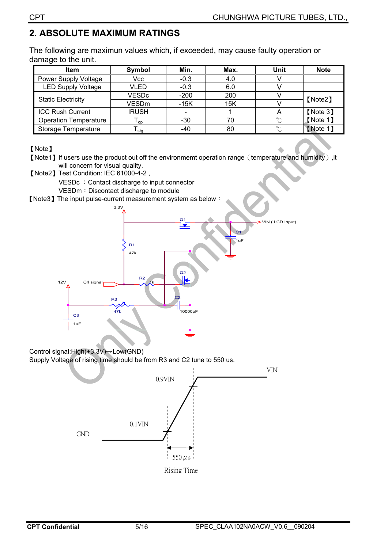## **2. ABSOLUTE MAXIMUM RATINGS**

The following are maximun values which, if exceeded, may cause faulty operation or damage to the unit.

| <b>Item</b>                  | <b>Symbol</b>   | Min.   | Max. | Unit   | <b>Note</b> |  |
|------------------------------|-----------------|--------|------|--------|-------------|--|
| Power Supply Voltage         | Vcc             | $-0.3$ | 4.0  |        |             |  |
| <b>LED Supply Voltage</b>    | VLED            | $-0.3$ | 6.0  |        |             |  |
| <b>Static Electricity</b>    | <b>VESDc</b>    | $-200$ | 200  |        | 【Note2】     |  |
|                              | <b>VESDm</b>    | $-15K$ | 15K  |        |             |  |
| <b>ICC Rush Current</b>      | <b>IRUSH</b>    |        |      |        | [Note 3]    |  |
| <b>Operation Temperature</b> | l <sub>OD</sub> | $-30$  | 70   | $\sim$ | 【Note 1】    |  |
| <b>Storage Temperature</b>   | l sta           | $-40$  | 80   | $\sim$ | [Note 1]    |  |

[Note]

- [Note1] If users use the product out off the environmemt operation range (temperature and humidity), it will concern for visual quality.
- [Note2] Test Condition: IEC 61000-4-2,
	- VESDc : Contact discharge to input connector

VESDm: Discontact discharge to module

[Note3] The input pulse-current measurement system as below :



#### Control signal:High(+3.3V) Dow(GND)

Supply Voltage of rising time should be from R3 and C2 tune to 550 us.

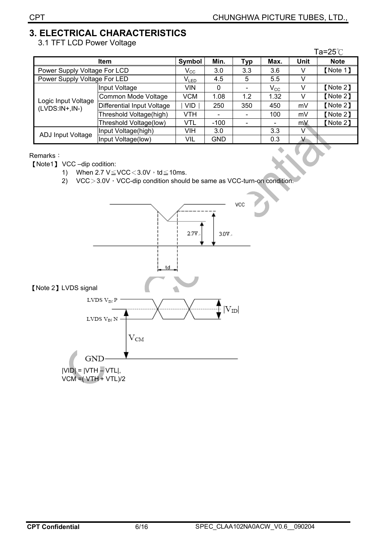## **3. ELECTRICAL CHARACTERISTICS**

3.1 TFT LCD Power Voltage

|                              |                            |                            |            |            |              |      | Та=25℃      |
|------------------------------|----------------------------|----------------------------|------------|------------|--------------|------|-------------|
|                              | <b>Item</b>                | Symbol                     | Min.       | <b>Typ</b> | Max.         | Unit | <b>Note</b> |
| Power Supply Voltage For LCD |                            | $\mathsf{V}_{\mathsf{CC}}$ | 3.0        | 3.3        | 3.6          | V    | [Note 1]    |
| Power Supply Voltage For LED |                            | $V_{LED}$                  | 4.5        | 5          | 5.5          | V    |             |
|                              | Input Voltage              | VIN                        | 0          |            | $V_{\rm CC}$ | V    | [Note 2]    |
| Logic Input Voltage          | Common Mode Voltage        | <b>VCM</b>                 | 1.08       | 1.2        | 1.32         | V    | [Note 2]    |
| $(LVDS:IN+,IN-)$             | Differential Input Voltage | <b>VID</b>                 | 250        | 350        | 450          | mV   | [Note 2]    |
|                              | Threshold Voltage(high)    | <b>VTH</b>                 |            |            | 100          | mV   | [Note 2]    |
|                              | Threshold Voltage(low)     | VTL                        | $-100$     |            |              | mV   | [Note 2]    |
|                              | Input Voltage(high)        | VIH                        | 3.0        |            | 3.3          | V    |             |
| ADJ Input Voltage            | Input Voltage(low)         | <b>VIL</b>                 | <b>GND</b> |            | 0.3          | v    |             |

#### Remarks:

[Note1] VCC-dip codition:

- 1) When  $2.7 \text{ V} \leq \text{VCC} < 3.0 \text{V} \cdot \text{td} \leq 10 \text{ms}.$
- 2)  $VCC > 3.0V \cdot VCC-dip$  condition should be same as VCC-turn-on condition.

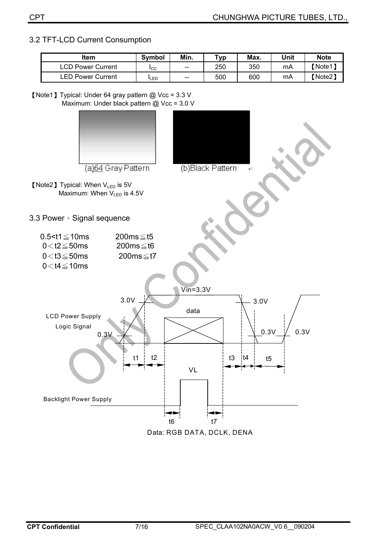#### 3.2 TFT-LCD Current Consumption

| <b>Item</b>              | <b>Symbol</b> | Min.  | тур | Max. | Unit | <b>Note</b> |
|--------------------------|---------------|-------|-----|------|------|-------------|
| <b>LCD Power Current</b> | <b>ICC</b>    | $- -$ | 250 | 350  | mA   | 【Note1】     |
| ∟ED Power Current        | <b>LED</b>    | $-$   | 500 | 600  | mA   | 【Note2】     |

<sup>[</sup>Note1] Typical: Under 64 gray pattern @ Vcc = 3.3 V Maximum: Under black pattern @ Vcc = 3.0 V



| 987 A.J.C.J.J.J.J |  |  |  |
|-------------------|--|--|--|
|                   |  |  |  |
|                   |  |  |  |
|                   |  |  |  |
|                   |  |  |  |
|                   |  |  |  |
|                   |  |  |  |
|                   |  |  |  |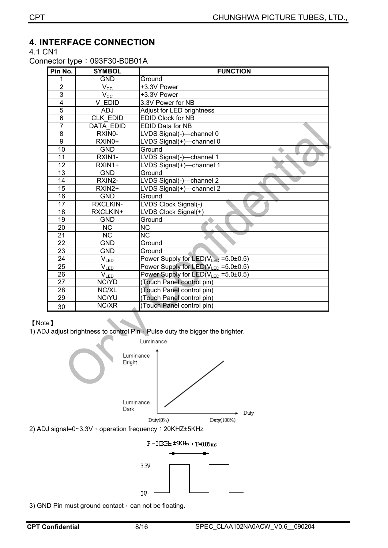## **4. INTERFACE CONNECTION**

4.1 CN1

Connector type: 093F30-B0B01A

| Pin No.         | <b>SYMBOL</b>          | <b>FUNCTION</b>                                 |
|-----------------|------------------------|-------------------------------------------------|
| 1               | <b>GND</b>             | Ground                                          |
| $\overline{2}$  | $V_{\underline{CC}}$   | +3.3V Power                                     |
| $\overline{3}$  | $V_{\rm CC}$           | +3.3V Power                                     |
| $\overline{4}$  | V EDID                 | 3.3V Power for NB                               |
| 5               | <b>ADJ</b>             | Adjust for LED brightness                       |
| 6               | <b>CLK EDID</b>        | <b>EDID Clock for NB</b>                        |
| $\overline{7}$  | <b>DATA EDID</b>       | <b>EDID Data for NB</b>                         |
| 8               | RXIN0-                 | LVDS Signal(-)-channel 0                        |
| 9               | RXIN0+                 | LVDS Signal(+)-channel 0                        |
| 10              | <b>GND</b>             | Ground                                          |
| 11              | RXIN1-                 | LVDS Signal(-)-channel 1                        |
| 12              | RXIN1+                 | LVDS Signal(+)-channel 1                        |
| $\overline{13}$ | <b>GND</b>             | Ground                                          |
| $\overline{14}$ | RXIN2-                 | LVDS Signal(-)-channel 2                        |
| 15              | RXIN2+                 | LVDS Signal(+)-channel 2                        |
| 16              | <b>GND</b>             | Ground                                          |
| $\overline{17}$ | <b>RXCLKIN-</b>        | LVDS Clock Signal(-)                            |
| 18              | RXCLKIN+               | LVDS Clock Signal(+)                            |
| 19              | <b>GND</b>             | Ground                                          |
| 20              | <b>NC</b>              | <b>NC</b>                                       |
| $\overline{21}$ | $\overline{\text{NC}}$ | $\overline{\text{NC}}$                          |
| $\overline{22}$ | <b>GND</b>             | Ground                                          |
| 23              | <b>GND</b>             | Ground                                          |
| $\overline{24}$ | $V_{LED}$              | Power Supply for LED(VLED = 5.0±0.5)            |
| $\overline{25}$ | $V_{LED}$              | Power Supply for LED( $V_{LED} = 5.0 \pm 0.5$ ) |
| $\overline{26}$ | $V_{LED}$              | Power Supply for LED( $V_{LED} = 5.0 \pm 0.5$ ) |
| $\overline{27}$ | NC/YD                  | (Touch Panel control pin)                       |
| 28              | NC/XL                  | (Touch Panel control pin)                       |
| 29              | <b>NC/YU</b>           | (Touch Panel control pin)                       |
| 30              | NC/XR                  | (Touch Panel control pin)                       |

#### [Note]

1) ADJ adjust brightness to control Pin  $\overline{\overline{P}}$  Pulse duty the bigger the brighter.



3) GND Pin must ground contact  $\cdot$  can not be floating.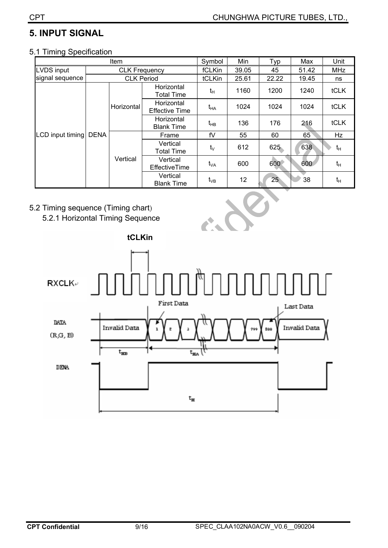## **5. INPUT SIGNAL**

#### 5.1 Timing Specification

|                   |             | Item                 |                                     | Symbol     | Min   | Typ             | Max   | Unit  |
|-------------------|-------------|----------------------|-------------------------------------|------------|-------|-----------------|-------|-------|
| <b>LVDS</b> input |             | <b>CLK Frequency</b> |                                     | fCLKin     | 39.05 | 45              | 51.42 | MHz   |
| signal sequence   |             | <b>CLK Period</b>    |                                     | tCLKin     | 25.61 | 22.22           | 19.45 | ns    |
|                   |             |                      | Horizontal<br><b>Total Time</b>     | $t_H$      | 1160  | 1200            | 1240  | tCLK  |
|                   |             | Horizontal           | Horizontal<br><b>Effective Time</b> | $t_{HA}$   | 1024  | 1024            | 1024  | tCLK  |
|                   |             |                      | Horizontal<br><b>Blank Time</b>     | $t_{HB}$   | 136   | 176             | 216   | tCLK  |
| LCD input timing  | <b>DENA</b> |                      | Frame                               | fV         | 55    | 60              | 65    | Hz    |
|                   |             |                      | Vertical<br><b>Total Time</b>       | $t_{\vee}$ | 612   | 625             | 638   | $t_H$ |
|                   |             | Vertical             | Vertical<br><b>EffectiveTime</b>    | $t_{VA}$   | 600   | 600             | 600   | $t_H$ |
|                   |             |                      | Vertical<br><b>Blank Time</b>       | $t_{VB}$   | 12    | 25 <sub>2</sub> | 38    | $t_H$ |

- 5.2 Timing sequence (Timing chart)
	- 5.2.1 Horizontal Timing Sequence

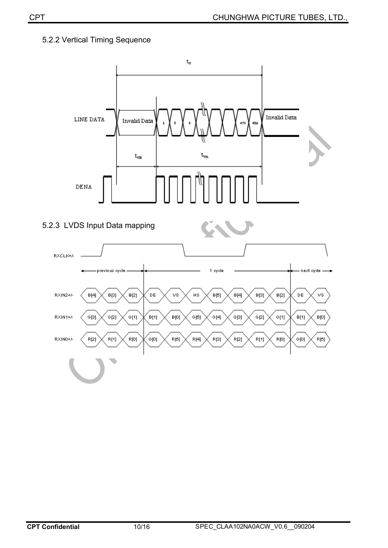#### 5.2.2 Vertical Timing Sequence

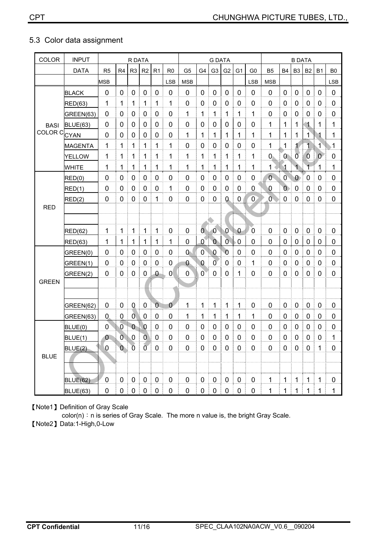### 5.3 Color data assignment

| <b>COLOR</b>       | <b>INPUT</b>    |                |                | R DATA         |                |             |                |                | <b>G DATA</b>  |                |                |                |                |                | <b>B DATA</b>  |                |                |                |                |
|--------------------|-----------------|----------------|----------------|----------------|----------------|-------------|----------------|----------------|----------------|----------------|----------------|----------------|----------------|----------------|----------------|----------------|----------------|----------------|----------------|
|                    | <b>DATA</b>     | R <sub>5</sub> | R <sub>4</sub> | R <sub>3</sub> | R <sub>2</sub> | R1          | R <sub>0</sub> | G <sub>5</sub> | G4             | G <sub>3</sub> | G <sub>2</sub> | G <sub>1</sub> | G <sub>0</sub> | B <sub>5</sub> | <b>B4</b>      | B <sub>3</sub> | <b>B2</b>      | <b>B1</b>      | B <sub>0</sub> |
|                    |                 | <b>MSB</b>     |                |                |                |             | <b>LSB</b>     | <b>MSB</b>     |                |                |                |                | <b>LSB</b>     | <b>MSB</b>     |                |                |                |                | <b>LSB</b>     |
|                    | <b>BLACK</b>    | 0              | 0              | 0              | $\mathbf 0$    | $\mathbf 0$ | 0              | 0              | 0              | $\pmb{0}$      | 0              | $\mathbf 0$    | 0              | 0              | $\pmb{0}$      | $\mathbf 0$    | $\mathbf 0$    | $\mathbf 0$    | $\pmb{0}$      |
|                    | <b>RED(63)</b>  | 1              | 1              | 1              | 1              | 1           | 1              | 0              | 0              | 0              | 0              | 0              | 0              | 0              | 0              | 0              | 0              | 0              | 0              |
|                    | GREEN(63)       | $\mathbf 0$    | 0              | 0              | 0              | 0           | $\overline{0}$ | 1              | 1              | 1              | 1              | 1              | 1              | $\overline{0}$ | 0              | $\mathbf 0$    | 0              | $\mathbf 0$    | $\pmb{0}$      |
| <b>BASI</b>        | <b>BLUE(63)</b> | 0              | 0              | 0              | $\mathbf 0$    | $\pmb{0}$   | 0              | 0              | 0              | $\mathbf 0$    | 0              | 0              | 0              | 1              | $\mathbf{1}$   | 1              | $\blacksquare$ | 1              | 1              |
| COLOR <sub>C</sub> | CYAN            | 0              | 0              | 0              | 0              | 0           | 0              | 1              | 1              | 1              | 1              | 1              | 1              | 1              | 1              | 1              | $\mathbf{1}$   | 1              | 1              |
|                    | <b>MAGENTA</b>  | 1              | 1              | 1              | 1              | 1           | 1              | 0              | 0              | 0              | 0              | 0              | 0              | 1              | 1              | 1              | 1              | 1              | 1              |
|                    | <b>YELLOW</b>   | 1              | 1              | 1              | 1              | 1           | 1              | 1              | 1              | 1              | 1              | 1              | 1              | 0              | $\mathbf{0}$   | $\overline{0}$ | $\overline{0}$ | $\mathbf{0}$   | $\mathbf 0$    |
|                    | <b>WHITE</b>    | 1              | 1              | 1              | 1              | 1           | 1              | 1              | 1              | 1              | 1              | 1              | 1              | 1              | 1              | 1              | 1              | 1              | 1              |
|                    | RED(0)          | 0              | 0              | 0              | 0              | 0           | 0              | 0              | 0              | 0              | 0              | 0              | 0              | $\overline{0}$ | $\overline{0}$ | $\bf{0}$       | 0              | 0              | 0              |
|                    | RED(1)          | 0              | 0              | 0              | 0              | 0           | 1              | 0              | 0              | 0              | 0              | 0              | 0              | 0              | $\overline{0}$ | $\mathbf 0$    | 0              | 0              | $\mathbf 0$    |
|                    | RED(2)          | $\mathbf 0$    | 0              | 0              | 0              | 1           | $\mathbf 0$    | $\mathbf 0$    | 0              | 0              | 0              | 0              | $\overline{0}$ | Ō              | $\mathbf 0$    | $\mathbf 0$    | 0              | $\mathbf 0$    | $\mathbf 0$    |
| <b>RED</b>         |                 |                |                |                |                |             |                |                |                |                |                |                |                |                |                |                |                |                |                |
|                    |                 |                |                |                |                |             |                |                |                |                |                |                |                |                |                |                |                |                |                |
|                    | <b>RED(62)</b>  | 1              | 1              | 1              | 1              | 1           | $\overline{0}$ | $\overline{0}$ | $\overline{0}$ | $\overline{0}$ | $\mathbf 0$    | $\theta$       | $\mathbf 0$    | $\overline{0}$ | $\mathbf 0$    | $\pmb{0}$      | $\pmb{0}$      | $\mathbf 0$    | $\pmb{0}$      |
|                    | <b>RED(63)</b>  | 1              | 1              | $\mathbf{1}$   | 1              | 1           | 1              | 0              | $\mathbf{0}$   | $\overline{0}$ | $\overline{0}$ | $\mathbf 0$    | 0              | 0              | 0              | $\pmb{0}$      | $\pmb{0}$      | 0              | $\mathbf 0$    |
|                    | GREEN(0)        | 0              | 0              | 0              | 0              | 0           | 0              | $0 -$          | $\mathbf{0}$   | 0              | $\overline{0}$ | 0              | 0              | $\overline{0}$ | 0              | 0              | 0              | 0              | 0              |
|                    | GREEN(1)        | 0              | 0              | 0              | 0              | 0           | 0              | 0              | $\overline{0}$ | $\overline{0}$ | 0              | 0              | 1              | 0              | 0              | 0              | 0              | $\mathbf 0$    | 0              |
|                    | GREEN(2)        | 0              | $\overline{0}$ | 0              | 0              | $\theta$    | $\overline{0}$ | 0              | $\overline{0}$ | 0              | $\mathbf 0$    | 1              | 0              | $\overline{0}$ | 0              | $\mathbf 0$    | 0              | 0              | $\mathbf 0$    |
| <b>GREEN</b>       |                 |                |                |                |                |             |                |                |                |                |                |                |                |                |                |                |                |                |                |
|                    |                 |                |                |                |                |             |                |                |                |                |                |                |                |                |                |                |                |                |                |
|                    | GREEN(62)       | $\mathbf 0$    | 0              | 0              | 0              | $\theta$    | $\mathbf{0}$   | 1              | 1              | 1              | 1              | 1              | 0              | $\overline{0}$ | $\mathbf 0$    | $\mathbf 0$    | 0              | $\mathbf 0$    | $\pmb{0}$      |
|                    | GREEN(63)       | $\mathbf 0$    | 0              | Ō              | $\mathbf 0$    | $\mathbf 0$ | $\mathbf 0$    | 1              | 1              | 1              | 1              | 1              | $\mathbf{1}$   | $\overline{0}$ | 0              | $\mathbf 0$    | $\mathbf 0$    | $\overline{0}$ | $\mathbf 0$    |
|                    | BLUE(0)         | 0              | 0              | $\bf{0}$       | $\bf{0}$       | 0           | 0              | 0              | 0              | 0              | 0              | 0              | 0              | 0              | 0              | 0              | 0              | 0              | $\pmb{0}$      |
|                    | BLUE(1)         | $\bf{0}$       | Ō              | 0              | 0              | 0           | 0              | 0              | 0              | 0              | 0              | 0              | 0              | 0              | 0              | 0              | 0              | $\mathbf 0$    | 1              |
|                    | BLUE(2)         | $\pmb{0}$      | $\mathbf{0}$   | $\overline{0}$ | $\overline{0}$ | $\pmb{0}$   | $\pmb{0}$      | $\pmb{0}$      | $\pmb{0}$      | $\pmb{0}$      | $\pmb{0}$      | $\pmb{0}$      | 0              | $\mathbf 0$    | $\pmb{0}$      | $\pmb{0}$      | $\pmb{0}$      | 1              | 0              |
| <b>BLUE</b>        |                 |                |                |                |                |             |                |                |                |                |                |                |                |                |                |                |                |                |                |
|                    |                 |                |                |                |                |             |                |                |                |                |                |                |                |                |                |                |                |                |                |
|                    | <b>BLUE(62)</b> | $\pmb{0}$      | $\pmb{0}$      | $\pmb{0}$      | $\pmb{0}$      | $\mathbf 0$ | 0              | $\pmb{0}$      | $\pmb{0}$      | $\pmb{0}$      | $\pmb{0}$      | $\pmb{0}$      | 0              | $\mathbf 1$    | $\mathbf 1$    | $\mathbf 1$    | $\mathbf 1$    | $\mathbf{1}$   | $\pmb{0}$      |
|                    | BLUE(63)        | $\pmb{0}$      | $\pmb{0}$      | $\mathbf 0$    | $\mathbf 0$    | $\mathbf 0$ | $\pmb{0}$      | 0              | 0              | $\mathbf 0$    | $\pmb{0}$      | $\pmb{0}$      | 0              | 1              | 1              | 1              | 1              | $\mathbf{1}$   | 1              |

[Note1] Definition of Gray Scale

color(n): n is series of Gray Scale. The more n value is, the bright Gray Scale.

[Note2] Data:1-High,0-Low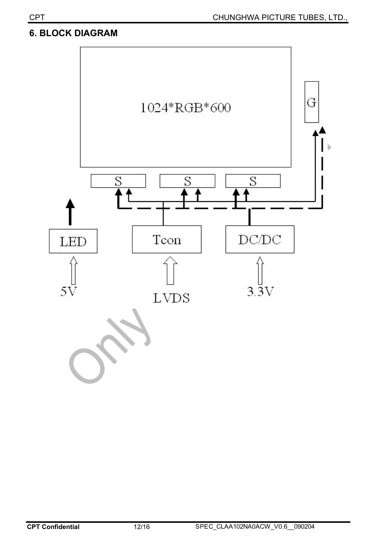## **6. BLOCK DIAGRAM**

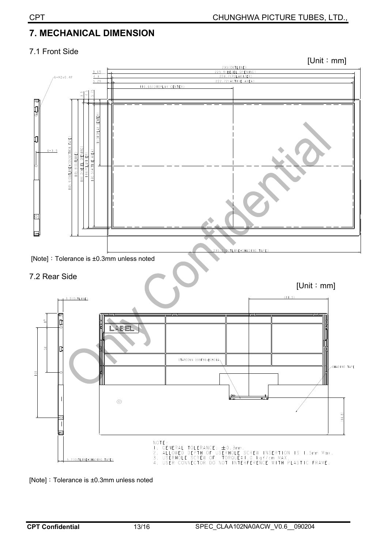## **7. MECHANICAL DIMENSION**

#### 7.1 Front Side



[Note] : Tolerance is  $\pm 0.3$ mm unless noted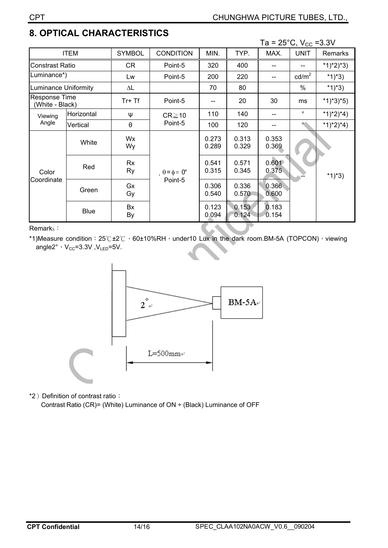## **8. OPTICAL CHARACTERISTICS**

|                                         |             |                 |                                        |                |                | Ta = $25^{\circ}$ C, V <sub>cc</sub> = 3.3V |                 |                |
|-----------------------------------------|-------------|-----------------|----------------------------------------|----------------|----------------|---------------------------------------------|-----------------|----------------|
| <b>ITEM</b>                             |             | <b>SYMBOL</b>   | <b>CONDITION</b>                       | MIN.           | TYP.           | MAX.                                        | <b>UNIT</b>     | <b>Remarks</b> |
| <b>Constrast Ratio</b>                  |             | <b>CR</b>       | Point-5                                | 320            | 400            |                                             |                 | $*1)*2)*3)$    |
| Luminance*)                             |             | Lw              | Point-5                                | 200            | 220            |                                             | $\text{cd/m}^2$ | $*1)*3)$       |
| Luminance Uniformity                    |             | $\Delta L$      |                                        | 70             | 80             |                                             | $\frac{0}{0}$   | $*1)*3)$       |
| <b>Response Time</b><br>(White - Black) |             | Tr+Tf           | Point-5                                |                | 20             | 30                                          | ms              | $*1)*3*5)$     |
| Viewing<br>Angle                        | Horizontal  | Ψ               | $CR \ge 10$<br>Point-5                 | 110            | 140            |                                             | $\circ$         | $*1)*2)*4)$    |
|                                         | Vertical    | θ               |                                        | 100            | 120            |                                             |                 | $*1)*2)*4)$    |
| Color<br>Coordinate                     | White       | Wx<br>Wy        | $\theta = \phi = 0^{\circ}$<br>Point-5 | 0.273<br>0.289 | 0.313<br>0.329 | 0.353<br>0.369                              |                 |                |
|                                         | Red         | Rx<br><b>Ry</b> |                                        | 0.541<br>0.315 | 0.571<br>0.345 | 0.601<br>0.375                              |                 | $*1)*3)$       |
|                                         | Green       | Gx<br>Gy        |                                        | 0.306<br>0.540 | 0.336<br>0.570 | 0.366<br>0.600                              |                 |                |
|                                         | <b>Blue</b> | Bx<br>By        |                                        | 0.123<br>0.094 | 0.153<br>0.124 | 0.183<br>0.154                              |                 |                |

Remarks:

\*1)Measure condition: 25°C±2°C, 60±10%RH, under10 Lux in the dark room.BM-5A (TOPCON), viewing angle2°,  $V_{CC} = 3.3V$ ,  $V_{LED} = 5V$ .



\*2) Definition of contrast ratio:

Contrast Ratio (CR)= (White) Luminance of ON ÷ (Black) Luminance of OFF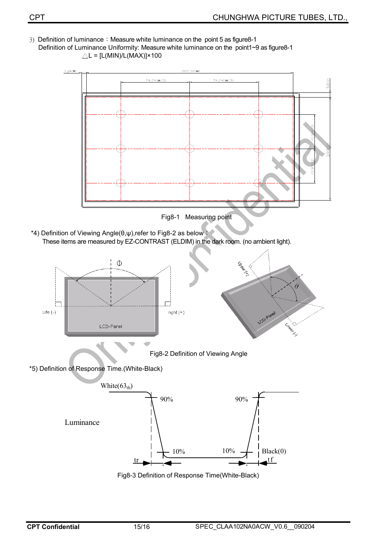3) Definition of luminance: Measure white luminance on the point 5 as figure8-1 Definition of Luminance Uniformity: Measure white luminance on the point1~9 as figure8-1  $\triangle L = [L(MIN)/L(MAX)] \times 100$ 



\*5) Definition of Response Time.(White-Black)



Fig8-3 Definition of Response Time(White-Black)